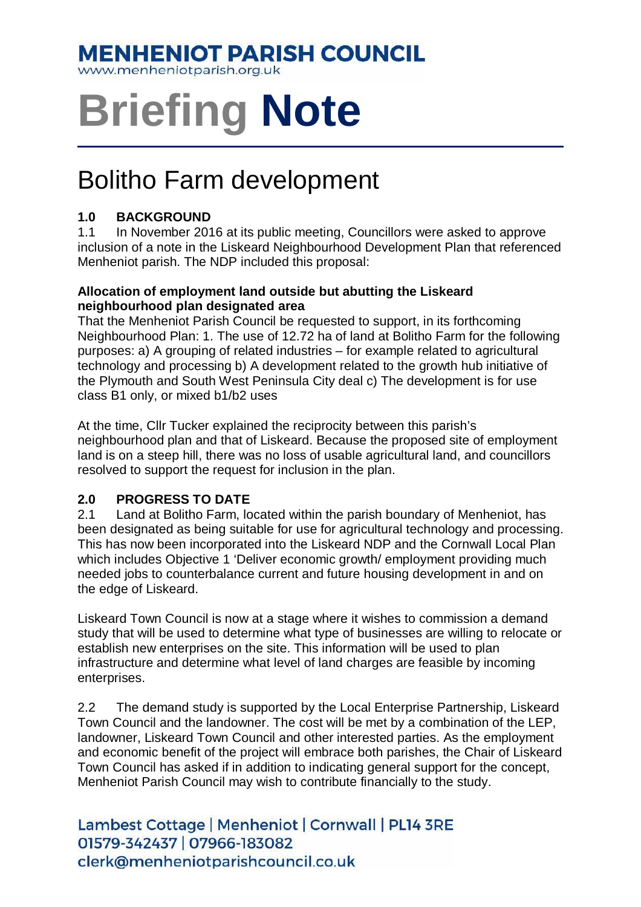# **MENHENIOT PARISH COUNCIL**

www.menheniotparish.org.uk

# **Briefing Note**

# Bolitho Farm development

# **1.0 BACKGROUND**

1.1 In November 2016 at its public meeting, Councillors were asked to approve inclusion of a note in the Liskeard Neighbourhood Development Plan that referenced Menheniot parish. The NDP included this proposal:

#### **Allocation of employment land outside but abutting the Liskeard neighbourhood plan designated area**

That the Menheniot Parish Council be requested to support, in its forthcoming Neighbourhood Plan: 1. The use of 12.72 ha of land at Bolitho Farm for the following purposes: a) A grouping of related industries – for example related to agricultural technology and processing b) A development related to the growth hub initiative of the Plymouth and South West Peninsula City deal c) The development is for use class B1 only, or mixed b1/b2 uses

At the time, Cllr Tucker explained the reciprocity between this parish's neighbourhood plan and that of Liskeard. Because the proposed site of employment land is on a steep hill, there was no loss of usable agricultural land, and councillors resolved to support the request for inclusion in the plan.

## **2.0 PROGRESS TO DATE**

2.1 Land at Bolitho Farm, located within the parish boundary of Menheniot, has been designated as being suitable for use for agricultural technology and processing. This has now been incorporated into the Liskeard NDP and the Cornwall Local Plan which includes Objective 1 'Deliver economic growth/ employment providing much needed jobs to counterbalance current and future housing development in and on the edge of Liskeard.

Liskeard Town Council is now at a stage where it wishes to commission a demand study that will be used to determine what type of businesses are willing to relocate or establish new enterprises on the site. This information will be used to plan infrastructure and determine what level of land charges are feasible by incoming enterprises.

2.2 The demand study is supported by the Local Enterprise Partnership, Liskeard Town Council and the landowner. The cost will be met by a combination of the LEP, landowner, Liskeard Town Council and other interested parties. As the employment and economic benefit of the project will embrace both parishes, the Chair of Liskeard Town Council has asked if in addition to indicating general support for the concept, Menheniot Parish Council may wish to contribute financially to the study.

Lambest Cottage | Menheniot | Cornwall | PL14 3RE 01579-342437 | 07966-183082 clerk@menheniotparishcouncil.co.uk